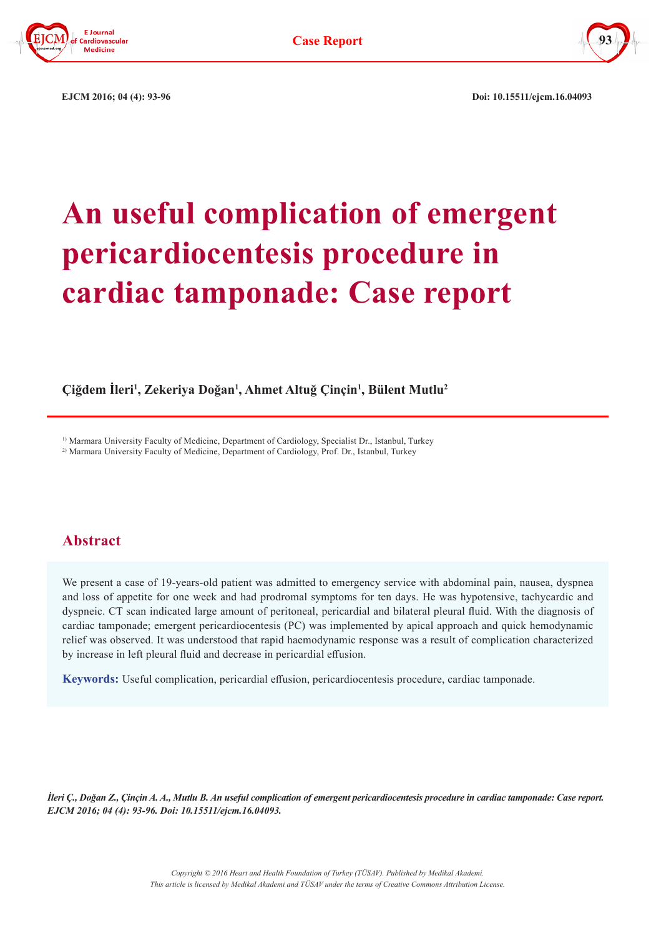



 **EJCM 2016; 04 (4): 93-96 Doi: 10.15511/ejcm.16.04093**

# **An useful complication of emergent pericardiocentesis procedure in cardiac tamponade: Case report**

**Çiğdem İleri<sup>1</sup> , Zekeriya Doğan<sup>1</sup> , Ahmet Altuğ Çinçin<sup>1</sup> , Bülent Mutlu2**

1) Marmara University Faculty of Medicine, Department of Cardiology, Specialist Dr., Istanbul, Turkey <sup>2)</sup> Marmara University Faculty of Medicine, Department of Cardiology, Prof. Dr., Istanbul, Turkey

## **Abstract**

We present a case of 19-years-old patient was admitted to emergency service with abdominal pain, nausea, dyspnea and loss of appetite for one week and had prodromal symptoms for ten days. He was hypotensive, tachycardic and dyspneic. CT scan indicated large amount of peritoneal, pericardial and bilateral pleural fluid. With the diagnosis of cardiac tamponade; emergent pericardiocentesis (PC) was implemented by apical approach and quick hemodynamic relief was observed. It was understood that rapid haemodynamic response was a result of complication characterized by increase in left pleural fluid and decrease in pericardial effusion.

**Keywords:** Useful complication, pericardial effusion, pericardiocentesis procedure, cardiac tamponade.

*İleri Ç., Doğan Z., Çinçin A. A., Mutlu B. An useful complication of emergent pericardiocentesis procedure in cardiac tamponade: Case report. EJCM 2016; 04 (4): 93-96. Doi: 10.15511/ejcm.16.04093.*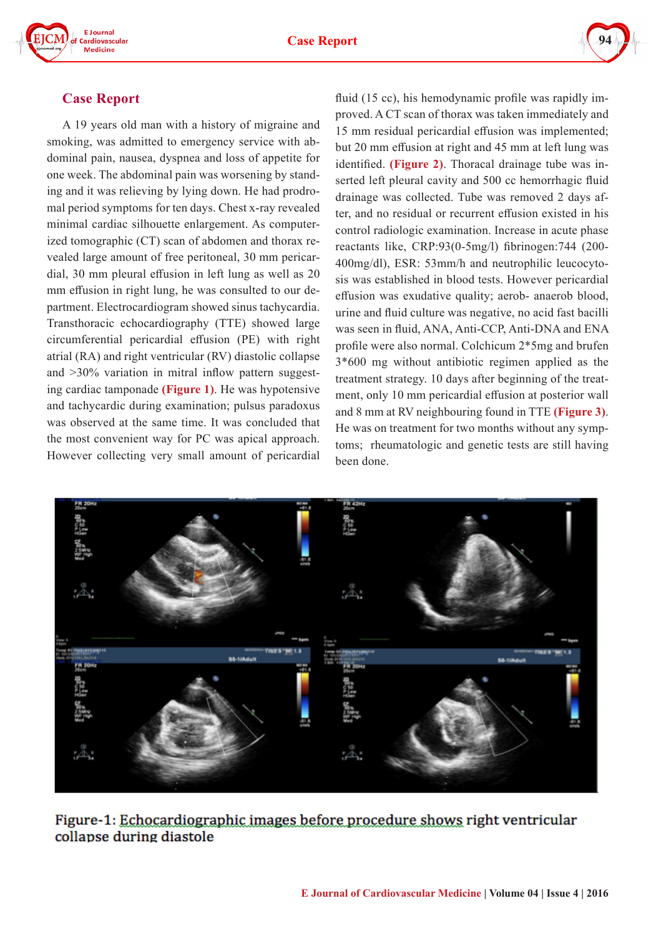



### **Case Report**

A 19 years old man with a history of migraine and smoking, was admitted to emergency service with abdominal pain, nausea, dyspnea and loss of appetite for one week. The abdominal pain was worsening by standing and it was relieving by lying down. He had prodromal period symptoms for ten days. Chest x-ray revealed minimal cardiac silhouette enlargement. As computerized tomographic (CT) scan of abdomen and thorax revealed large amount of free peritoneal, 30 mm pericardial, 30 mm pleural effusion in left lung as well as 20 mm effusion in right lung, he was consulted to our department. Electrocardiogram showed sinus tachycardia. Transthoracic echocardiography (TTE) showed large circumferential pericardial effusion (PE) with right atrial (RA) and right ventricular (RV) diastolic collapse and >30% variation in mitral inflow pattern suggesting cardiac tamponade **(Figure 1)**. He was hypotensive and tachycardic during examination; pulsus paradoxus was observed at the same time. It was concluded that the most convenient way for PC was apical approach. However collecting very small amount of pericardial fluid (15 cc), his hemodynamic profile was rapidly improved. A CT scan of thorax was taken immediately and 15 mm residual pericardial effusion was implemented; but 20 mm effusion at right and 45 mm at left lung was identified. **(Figure 2)**. Thoracal drainage tube was inserted left pleural cavity and 500 cc hemorrhagic fluid drainage was collected. Tube was removed 2 days after, and no residual or recurrent effusion existed in his control radiologic examination. Increase in acute phase reactants like, CRP:93(0-5mg/l) fibrinogen:744 (200- 400mg/dl), ESR: 53mm/h and neutrophilic leucocytosis was established in blood tests. However pericardial effusion was exudative quality; aerob- anaerob blood, urine and fluid culture was negative, no acid fast bacilli was seen in fluid, ANA, Anti-CCP, Anti-DNA and ENA profile were also normal. Colchicum 2\*5mg and brufen 3\*600 mg without antibiotic regimen applied as the treatment strategy. 10 days after beginning of the treatment, only 10 mm pericardial effusion at posterior wall and 8 mm at RV neighbouring found in TTE **(Figure 3)**. He was on treatment for two months without any symptoms; rheumatologic and genetic tests are still having been done.



Figure-1: Echocardiographic images before procedure shows right ventricular collapse during diastole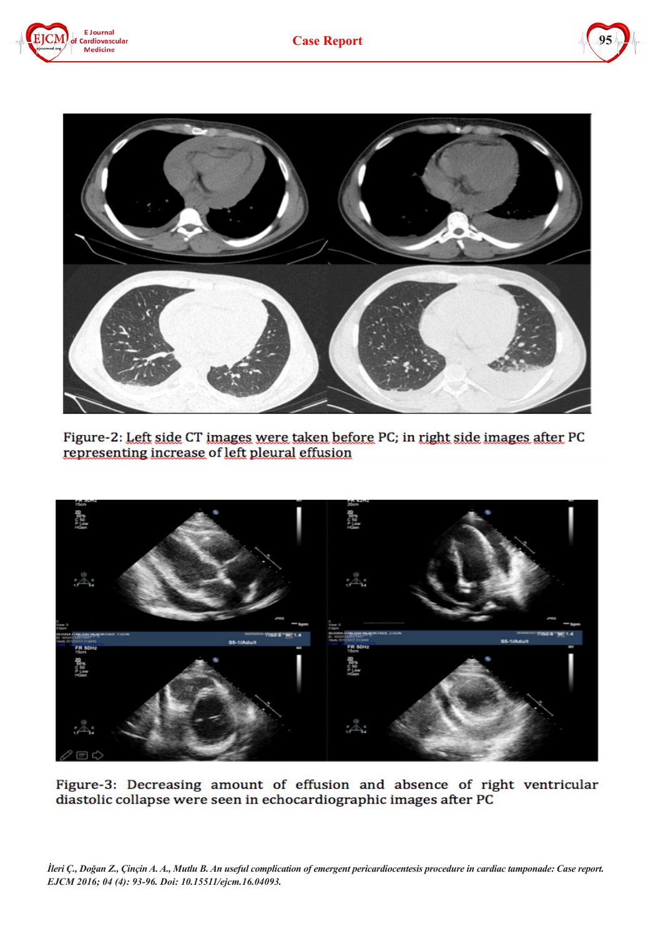





Figure-2: Left side CT images were taken before PC; in right side images after PC representing increase of left pleural effusion



Figure-3: Decreasing amount of effusion and absence of right ventricular diastolic collapse were seen in echocardiographic images after PC